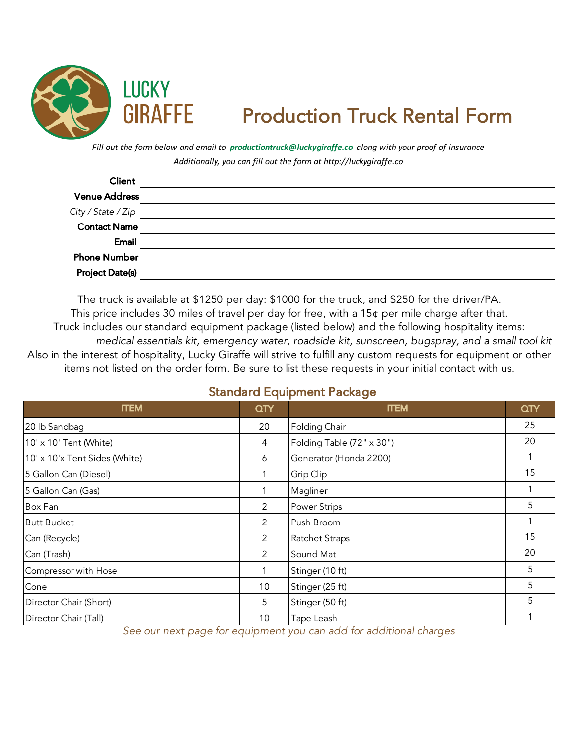

## Production Truck Rental Form

*Additionally, you can fill out the form at http://luckygiraffe.co Fill out the form below and email to productiontruck@luckygiraffe.co along with your proof of insurance*

| Client                                    |  |
|-------------------------------------------|--|
| <b>Venue Address</b>                      |  |
| City / State / Zip<br><b>Contact Name</b> |  |
|                                           |  |
| Email                                     |  |
| <b>Phone Number</b>                       |  |
| <b>Project Date(s)</b>                    |  |

Also in the interest of hospitality, Lucky Giraffe will strive to fulfill any custom requests for equipment or other items not listed on the order form. Be sure to list these requests in your initial contact with us. The truck is available at \$1250 per day: \$1000 for the truck, and \$250 for the driver/PA. This price includes 30 miles of travel per day for free, with a 15¢ per mile charge after that. Truck includes our standard equipment package (listed below) and the following hospitality items: *medical essentials kit, emergency water, roadside kit, sunscreen, bugspray, and a small tool kit*

## Standard Equipment Package

| <b>ITEM</b>                   | QTY            | <b>ITEM</b>               | QTY |
|-------------------------------|----------------|---------------------------|-----|
| 20 lb Sandbag                 | 20             | Folding Chair             | 25  |
| 10' x 10' Tent (White)        | 4              | Folding Table (72" x 30") | 20  |
| 10' x 10'x Tent Sides (White) | 6              | Generator (Honda 2200)    |     |
| 5 Gallon Can (Diesel)         |                | Grip Clip                 | 15  |
| 5 Gallon Can (Gas)            |                | Magliner                  |     |
| Box Fan                       | $\overline{2}$ | <b>Power Strips</b>       | 5   |
| <b>Butt Bucket</b>            | $\overline{2}$ | Push Broom                |     |
| Can (Recycle)                 | $\overline{2}$ | <b>Ratchet Straps</b>     | 15  |
| Can (Trash)                   | $\overline{2}$ | Sound Mat                 | 20  |
| Compressor with Hose          |                | Stinger (10 ft)           | 5   |
| Cone                          | 10             | Stinger (25 ft)           | 5   |
| Director Chair (Short)        | 5              | Stinger (50 ft)           | 5   |
| Director Chair (Tall)         | 10             | Tape Leash                |     |

*See our next page for equipment you can add for additional charges*